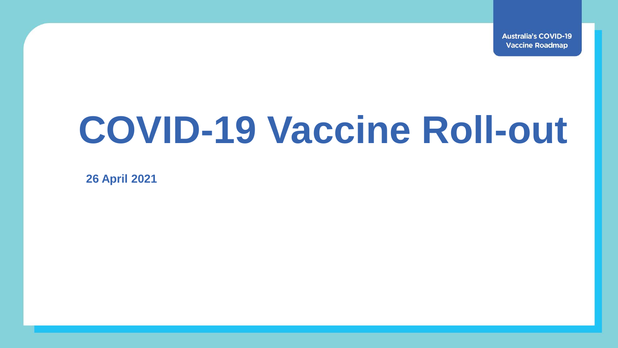**Australia's COVID-19 Vaccine Roadmap** 

# **COVID-19 Vaccine Roll-out**

**26 April 2021**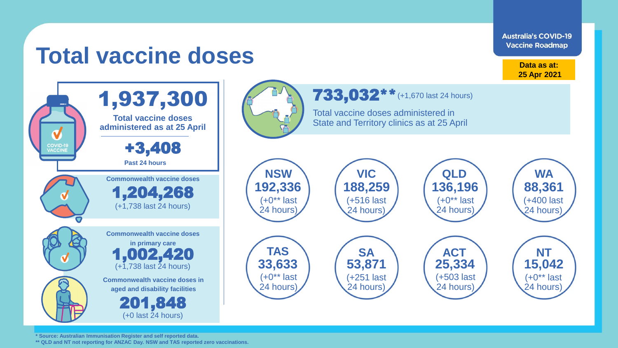

**\* Source: Australian Immunisation Register and self reported data.**

**\*\* QLD and NT not reporting for ANZAC Day. NSW and TAS reported zero vaccinations.**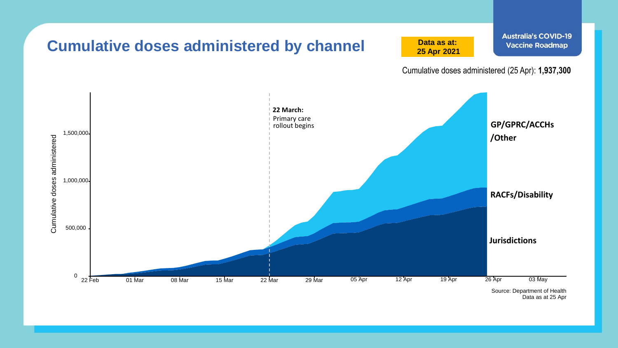

Data as at 25 Apr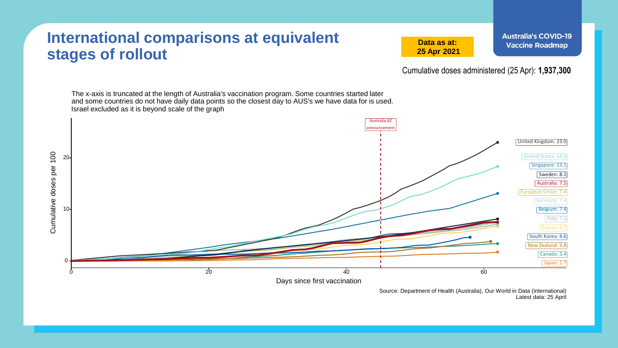### **International comparisons at equivalent stages of rollout**

**Data as at: 25 Apr 2021** **Australia's COVID-19 Vaccine Roadmap** 

Cumulative doses administered (25 Apr): **1,937,300**

The x-axis is truncated at the length of Australia's vaccination program. Some countries started later and some countries do not have daily data points so the closest day to AUS's we have data for is used. Israel excluded as it is beyond scale of the graph Australia AZ announcement United Kingdom: 23.0 Cumulative doses per 100 Cumulative doses per 100 United States: 18.3 20 Singapore: 13.1 Sweden: 8.1 Australia: 7.5 European Union: 7.4 Germany: 7.4 10 Belgium: 7.4  $\lceil$ Italy: 7.1 France: 6.7 South Korea: 4.6 New Zealand: 3.8 Canada: 3.4 0 Japan: 1.7  $0$  and  $0$  and  $20$  and  $40$  and  $60$  and  $60$ Days since first vaccination

> Source: Department of Health (Australia), Our World in Data (international) Latest data: 25 April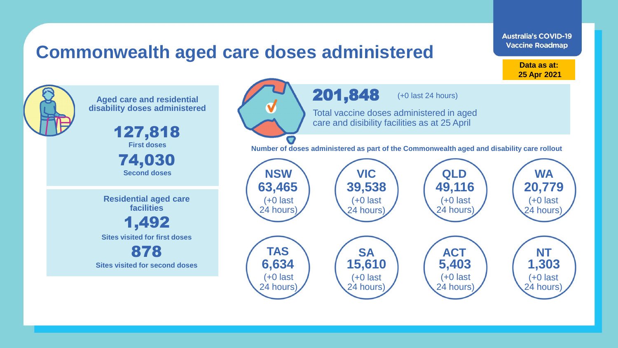### **Commonwealth aged care doses administered**

**Data as at: 25 Apr 2021**

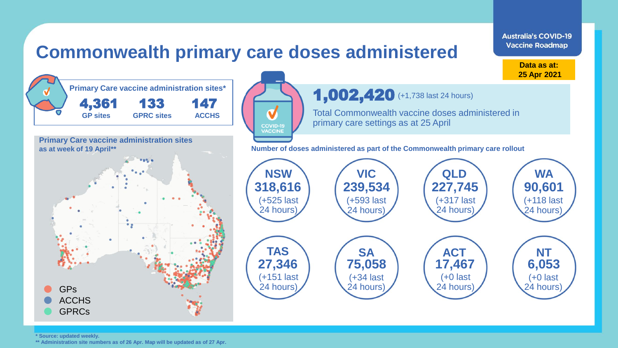## **Commonwealth primary care doses administered**



**Australia's COVID-19 Vaccine Roadmap** 

**\* Source: updated weekly.** 

**\*\* Administration site numbers as of 26 Apr. Map will be updated as of 27 Apr.**